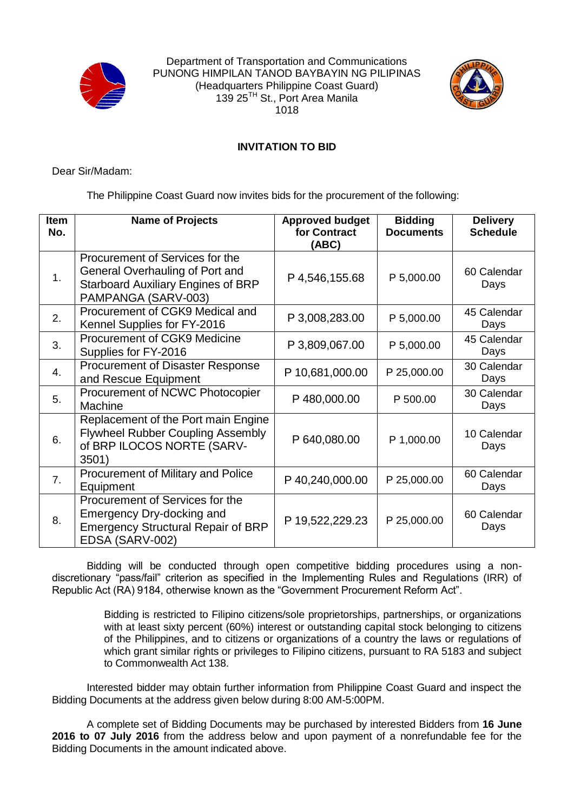

Department of Transportation and Communications PUNONG HIMPILAN TANOD BAYBAYIN NG PILIPINAS (Headquarters Philippine Coast Guard) 139 25TH St., Port Area Manila 1018



## **INVITATION TO BID**

Dear Sir/Madam:

The Philippine Coast Guard now invites bids for the procurement of the following:

| <b>Item</b><br>No. | <b>Name of Projects</b>                                                                                                                | <b>Approved budget</b><br>for Contract<br>(ABC) | <b>Bidding</b><br><b>Documents</b> | <b>Delivery</b><br><b>Schedule</b> |
|--------------------|----------------------------------------------------------------------------------------------------------------------------------------|-------------------------------------------------|------------------------------------|------------------------------------|
| 1.                 | Procurement of Services for the<br>General Overhauling of Port and<br><b>Starboard Auxiliary Engines of BRP</b><br>PAMPANGA (SARV-003) | P 4,546,155.68                                  | P 5,000.00                         | 60 Calendar<br>Days                |
| 2.                 | Procurement of CGK9 Medical and<br>Kennel Supplies for FY-2016                                                                         | P 3,008,283.00                                  | P 5,000.00                         | 45 Calendar<br>Days                |
| 3.                 | Procurement of CGK9 Medicine<br>Supplies for FY-2016                                                                                   | P 3,809,067.00                                  | P 5,000.00                         | 45 Calendar<br>Days                |
| 4.                 | <b>Procurement of Disaster Response</b><br>and Rescue Equipment                                                                        | P 10,681,000.00                                 | P 25,000.00                        | 30 Calendar<br>Days                |
| 5.                 | Procurement of NCWC Photocopier<br>Machine                                                                                             | P480,000.00                                     | P 500.00                           | 30 Calendar<br>Days                |
| 6.                 | Replacement of the Port main Engine<br><b>Flywheel Rubber Coupling Assembly</b><br>of BRP ILOCOS NORTE (SARV-<br>3501)                 | P 640,080.00                                    | P 1,000.00                         | 10 Calendar<br>Days                |
| 7.                 | Procurement of Military and Police<br>Equipment                                                                                        | P40,240,000.00                                  | P 25,000.00                        | 60 Calendar<br>Days                |
| 8.                 | Procurement of Services for the<br>Emergency Dry-docking and<br><b>Emergency Structural Repair of BRP</b><br>EDSA (SARV-002)           | P 19,522,229.23                                 | P 25,000.00                        | 60 Calendar<br>Days                |

Bidding will be conducted through open competitive bidding procedures using a nondiscretionary "pass/fail" criterion as specified in the Implementing Rules and Regulations (IRR) of Republic Act (RA) 9184, otherwise known as the "Government Procurement Reform Act".

> Bidding is restricted to Filipino citizens/sole proprietorships, partnerships, or organizations with at least sixty percent (60%) interest or outstanding capital stock belonging to citizens of the Philippines, and to citizens or organizations of a country the laws or regulations of which grant similar rights or privileges to Filipino citizens, pursuant to RA 5183 and subject to Commonwealth Act 138.

Interested bidder may obtain further information from Philippine Coast Guard and inspect the Bidding Documents at the address given below during 8:00 AM-5:00PM.

A complete set of Bidding Documents may be purchased by interested Bidders from **16 June 2016 to 07 July 2016** from the address below and upon payment of a nonrefundable fee for the Bidding Documents in the amount indicated above.